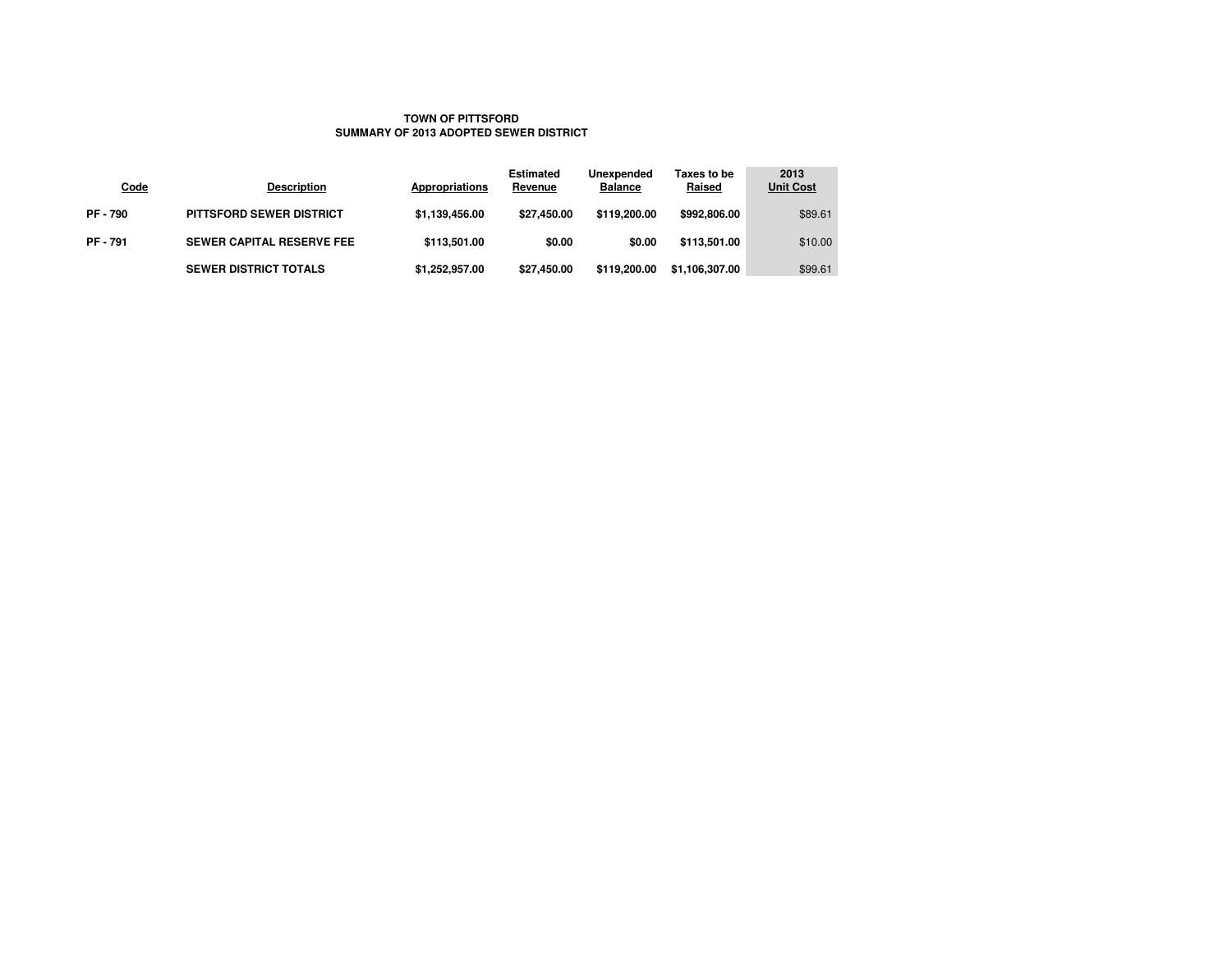### **TOWN OF PITTSFORDSUMMARY OF 2013 ADOPTED SEWER DISTRICT**

| <b>Code</b>   | <b>Description</b>               | Appropriations | <b>Estimated</b><br>Revenue | Unexpended<br><b>Balance</b> | Taxes to be<br><b>Raised</b> | 2013<br><b>Unit Cost</b> |
|---------------|----------------------------------|----------------|-----------------------------|------------------------------|------------------------------|--------------------------|
| <b>PF-790</b> | <b>PITTSFORD SEWER DISTRICT</b>  | \$1,139,456.00 | \$27.450.00                 | \$119,200,00                 | \$992,806,00                 | \$89.61                  |
| <b>PF-791</b> | <b>SEWER CAPITAL RESERVE FEE</b> | \$113,501.00   | \$0.00                      | \$0.00                       | \$113,501.00                 | \$10.00                  |
|               | <b>SEWER DISTRICT TOTALS</b>     | \$1,252,957.00 | \$27,450.00                 | \$119,200,00                 | \$1,106,307.00               | \$99.61                  |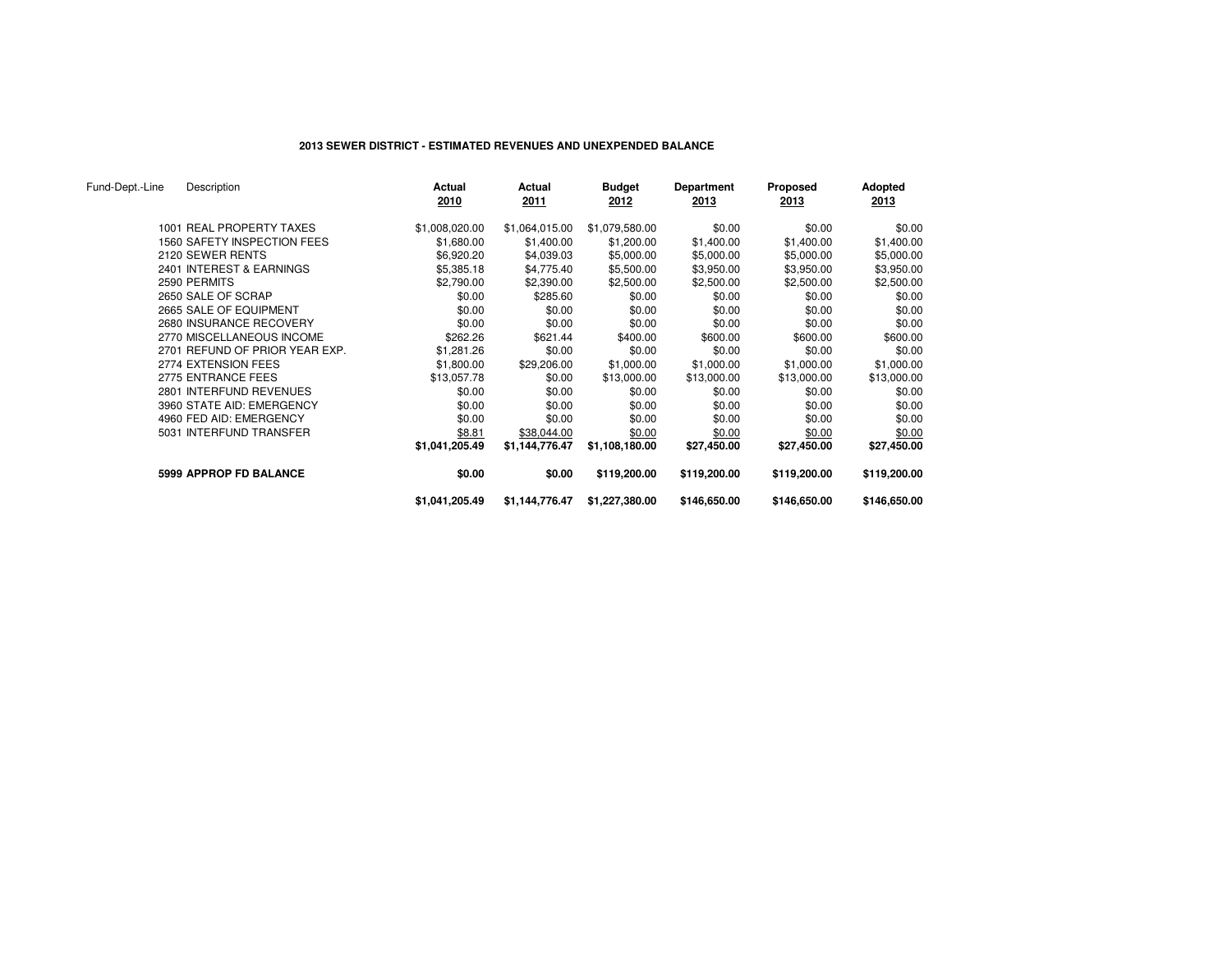### **2013 SEWER DISTRICT - ESTIMATED REVENUES AND UNEXPENDED BALANCE**

| Fund-Dept.-Line | Description                    | Actual<br>2010 | Actual<br>2011 | <b>Budget</b><br>2012 | Department<br>2013 | Proposed<br>2013 | Adopted<br>2013 |
|-----------------|--------------------------------|----------------|----------------|-----------------------|--------------------|------------------|-----------------|
|                 | 1001 REAL PROPERTY TAXES       | \$1,008,020.00 | \$1,064,015.00 | \$1,079,580.00        | \$0.00             | \$0.00           | \$0.00          |
|                 | 1560 SAFETY INSPECTION FEES    | \$1,680.00     | \$1,400.00     | \$1,200.00            | \$1,400.00         | \$1,400.00       | \$1,400.00      |
|                 | 2120 SEWER RENTS               | \$6,920.20     | \$4,039.03     | \$5,000.00            | \$5,000.00         | \$5,000.00       | \$5,000.00      |
|                 | 2401 INTEREST & EARNINGS       | \$5,385.18     | \$4,775.40     | \$5,500.00            | \$3,950.00         | \$3,950.00       | \$3,950.00      |
|                 | 2590 PERMITS                   | \$2,790.00     | \$2,390.00     | \$2,500.00            | \$2,500.00         | \$2,500.00       | \$2,500.00      |
|                 | 2650 SALE OF SCRAP             | \$0.00         | \$285.60       | \$0.00                | \$0.00             | \$0.00           | \$0.00          |
|                 | 2665 SALE OF EQUIPMENT         | \$0.00         | \$0.00         | \$0.00                | \$0.00             | \$0.00           | \$0.00          |
|                 | 2680 INSURANCE RECOVERY        | \$0.00         | \$0.00         | \$0.00                | \$0.00             | \$0.00           | \$0.00          |
|                 | 2770 MISCELLANEOUS INCOME      | \$262.26       | \$621.44       | \$400.00              | \$600.00           | \$600.00         | \$600.00        |
|                 | 2701 REFUND OF PRIOR YEAR EXP. | \$1,281.26     | \$0.00         | \$0.00                | \$0.00             | \$0.00           | \$0.00          |
|                 | 2774 EXTENSION FEES            | \$1,800.00     | \$29,206.00    | \$1,000.00            | \$1,000.00         | \$1,000.00       | \$1,000.00      |
|                 | 2775 ENTRANCE FEES             | \$13,057.78    | \$0.00         | \$13,000.00           | \$13,000.00        | \$13,000.00      | \$13,000.00     |
|                 | 2801 INTERFUND REVENUES        | \$0.00         | \$0.00         | \$0.00                | \$0.00             | \$0.00           | \$0.00          |
|                 | 3960 STATE AID: EMERGENCY      | \$0.00         | \$0.00         | \$0.00                | \$0.00             | \$0.00           | \$0.00          |
|                 | 4960 FED AID: EMERGENCY        | \$0.00         | \$0.00         | \$0.00                | \$0.00             | \$0.00           | \$0.00          |
|                 | 5031 INTERFUND TRANSFER        | \$8.81         | \$38,044.00    | \$0.00                | \$0.00             | \$0.00           | \$0.00          |
|                 |                                | \$1,041,205.49 | \$1,144,776.47 | \$1,108,180.00        | \$27,450.00        | \$27,450.00      | \$27,450.00     |
|                 | <b>5999 APPROP FD BALANCE</b>  | \$0.00         | \$0.00         | \$119,200.00          | \$119,200.00       | \$119,200.00     | \$119,200.00    |
|                 |                                | \$1,041,205.49 | \$1,144,776.47 | \$1,227,380.00        | \$146,650.00       | \$146,650.00     | \$146,650.00    |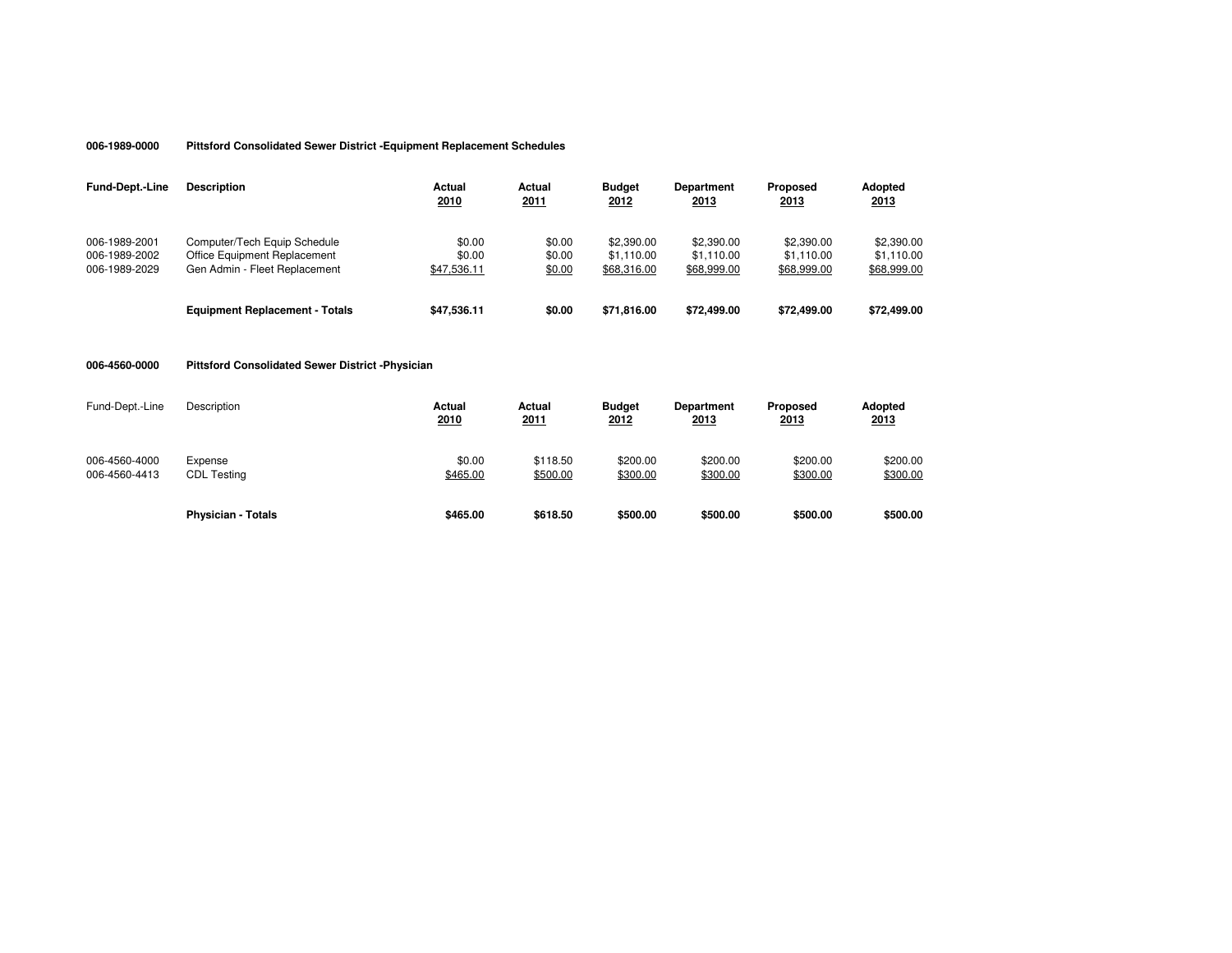#### **006-1989-0000 Pittsford Consolidated Sewer District -Equipment Replacement Schedules**

| <b>Fund-Dept.-Line</b>                          | <b>Description</b>                                                                            | Actual<br>2010                  | Actual<br><u>2011</u>      | <b>Budget</b><br>2012                   | Department<br>2013                      | Proposed<br>2013                        | <b>Adopted</b><br>2013                  |
|-------------------------------------------------|-----------------------------------------------------------------------------------------------|---------------------------------|----------------------------|-----------------------------------------|-----------------------------------------|-----------------------------------------|-----------------------------------------|
| 006-1989-2001<br>006-1989-2002<br>006-1989-2029 | Computer/Tech Equip Schedule<br>Office Equipment Replacement<br>Gen Admin - Fleet Replacement | \$0.00<br>\$0.00<br>\$47,536.11 | \$0.00<br>\$0.00<br>\$0.00 | \$2,390.00<br>\$1.110.00<br>\$68,316.00 | \$2,390.00<br>\$1.110.00<br>\$68,999.00 | \$2,390.00<br>\$1.110.00<br>\$68,999.00 | \$2,390.00<br>\$1.110.00<br>\$68,999.00 |
|                                                 | <b>Equipment Replacement - Totals</b>                                                         | \$47.536.11                     | \$0.00                     | \$71,816,00                             | \$72,499.00                             | \$72,499.00                             | \$72,499.00                             |

#### **006-4560-0000 Pittsford Consolidated Sewer District -Physician**

| Fund-Dept.-Line                | Description                   | Actual<br>2010     | Actual<br>2011       | <b>Budget</b><br>2012 | <b>Department</b><br>2013 | Proposed<br><u>2013</u> | Adopted<br>2013      |
|--------------------------------|-------------------------------|--------------------|----------------------|-----------------------|---------------------------|-------------------------|----------------------|
| 006-4560-4000<br>006-4560-4413 | Expense<br><b>CDL Testing</b> | \$0.00<br>\$465.00 | \$118.50<br>\$500.00 | \$200.00<br>\$300.00  | \$200.00<br>\$300.00      | \$200.00<br>\$300.00    | \$200.00<br>\$300.00 |
|                                | <b>Physician - Totals</b>     | \$465.00           | \$618.50             | \$500.00              | \$500.00                  | \$500.00                | \$500.00             |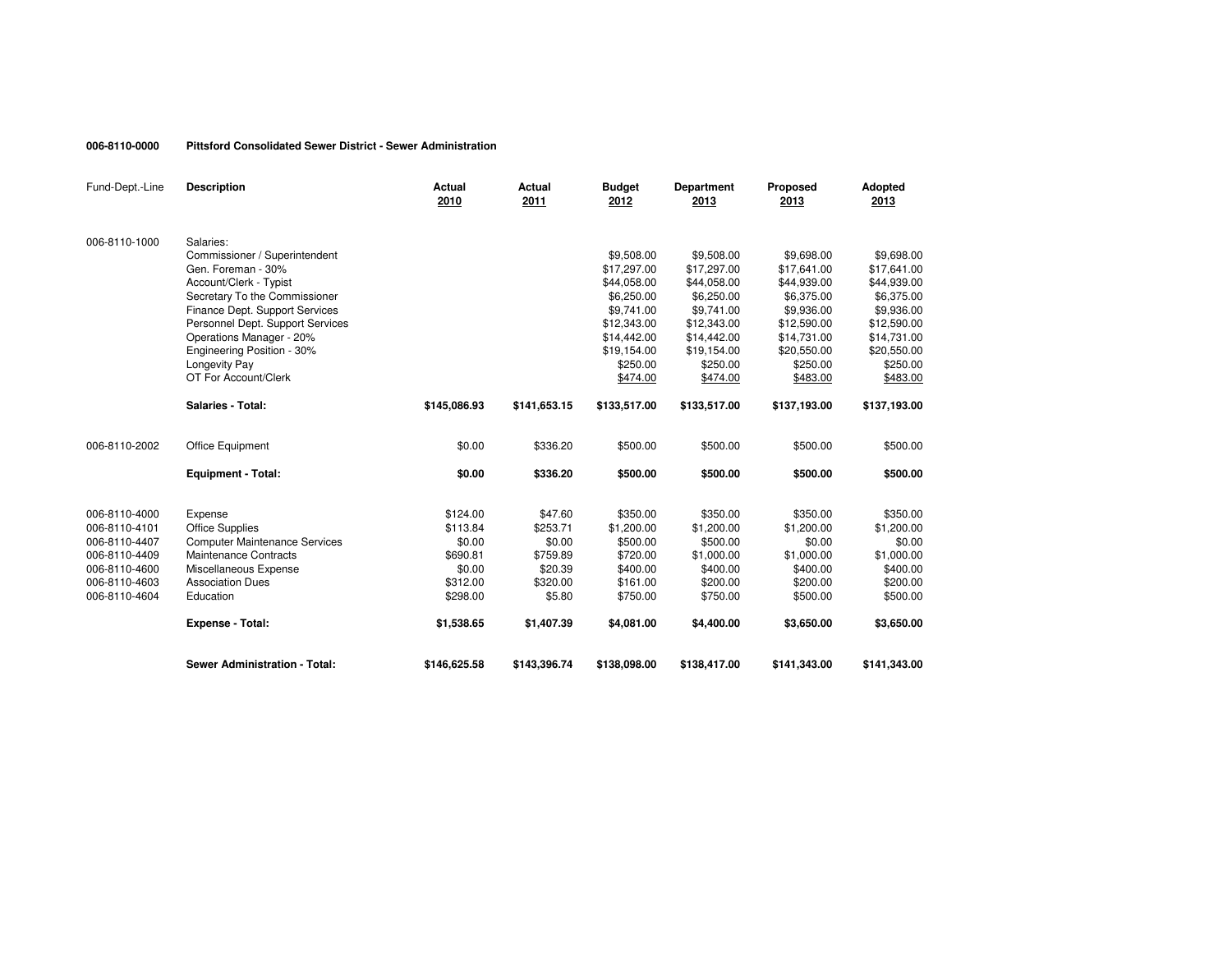#### **006-8110-0000 Pittsford Consolidated Sewer District - Sewer Administration**

| Fund-Dept.-Line | <b>Description</b>                   | <b>Actual</b><br>2010 | Actual<br>2011 | <b>Budget</b><br>2012 | <b>Department</b><br>2013 | Proposed<br>2013 | Adopted<br>2013 |
|-----------------|--------------------------------------|-----------------------|----------------|-----------------------|---------------------------|------------------|-----------------|
| 006-8110-1000   | Salaries:                            |                       |                |                       |                           |                  |                 |
|                 | Commissioner / Superintendent        |                       |                | \$9,508.00            | \$9,508.00                | \$9,698.00       | \$9,698.00      |
|                 | Gen. Foreman - 30%                   |                       |                | \$17,297.00           | \$17,297.00               | \$17,641.00      | \$17,641.00     |
|                 | Account/Clerk - Typist               |                       |                | \$44,058.00           | \$44,058.00               | \$44,939.00      | \$44,939.00     |
|                 | Secretary To the Commissioner        |                       |                | \$6,250.00            | \$6,250,00                | \$6,375.00       | \$6,375.00      |
|                 | Finance Dept. Support Services       |                       |                | \$9,741.00            | \$9,741.00                | \$9,936.00       | \$9,936.00      |
|                 | Personnel Dept. Support Services     |                       |                | \$12,343.00           | \$12,343.00               | \$12,590.00      | \$12,590.00     |
|                 | Operations Manager - 20%             |                       |                | \$14,442.00           | \$14,442.00               | \$14,731.00      | \$14,731.00     |
|                 | Engineering Position - 30%           |                       |                | \$19,154.00           | \$19,154.00               | \$20,550.00      | \$20,550.00     |
|                 | Longevity Pay                        |                       |                | \$250.00              | \$250.00                  | \$250.00         | \$250.00        |
|                 | OT For Account/Clerk                 |                       |                | \$474.00              | \$474.00                  | \$483.00         | \$483.00        |
|                 | Salaries - Total:                    | \$145,086.93          | \$141,653.15   | \$133,517.00          | \$133,517.00              | \$137,193.00     | \$137,193.00    |
| 006-8110-2002   | Office Equipment                     | \$0.00                | \$336.20       | \$500.00              | \$500.00                  | \$500.00         | \$500.00        |
|                 | <b>Equipment - Total:</b>            | \$0.00                | \$336.20       | \$500.00              | \$500.00                  | \$500.00         | \$500.00        |
|                 |                                      |                       |                |                       |                           |                  |                 |
| 006-8110-4000   | Expense                              | \$124.00              | \$47.60        | \$350.00              | \$350.00                  | \$350.00         | \$350.00        |
| 006-8110-4101   | <b>Office Supplies</b>               | \$113.84              | \$253.71       | \$1,200.00            | \$1,200.00                | \$1,200.00       | \$1,200.00      |
| 006-8110-4407   | <b>Computer Maintenance Services</b> | \$0.00                | \$0.00         | \$500.00              | \$500.00                  | \$0.00           | \$0.00          |
| 006-8110-4409   | Maintenance Contracts                | \$690.81              | \$759.89       | \$720.00              | \$1,000.00                | \$1,000.00       | \$1,000.00      |
| 006-8110-4600   | Miscellaneous Expense                | \$0.00                | \$20.39        | \$400.00              | \$400.00                  | \$400.00         | \$400.00        |
| 006-8110-4603   | <b>Association Dues</b>              | \$312.00              | \$320.00       | \$161.00              | \$200.00                  | \$200.00         | \$200.00        |
| 006-8110-4604   | Education                            | \$298.00              | \$5.80         | \$750.00              | \$750.00                  | \$500.00         | \$500.00        |
|                 | <b>Expense - Total:</b>              | \$1,538.65            | \$1,407.39     | \$4,081.00            | \$4,400.00                | \$3,650.00       | \$3,650.00      |
|                 | Sewer Administration - Total:        | \$146,625.58          | \$143,396.74   | \$138,098.00          | \$138,417.00              | \$141,343.00     | \$141,343.00    |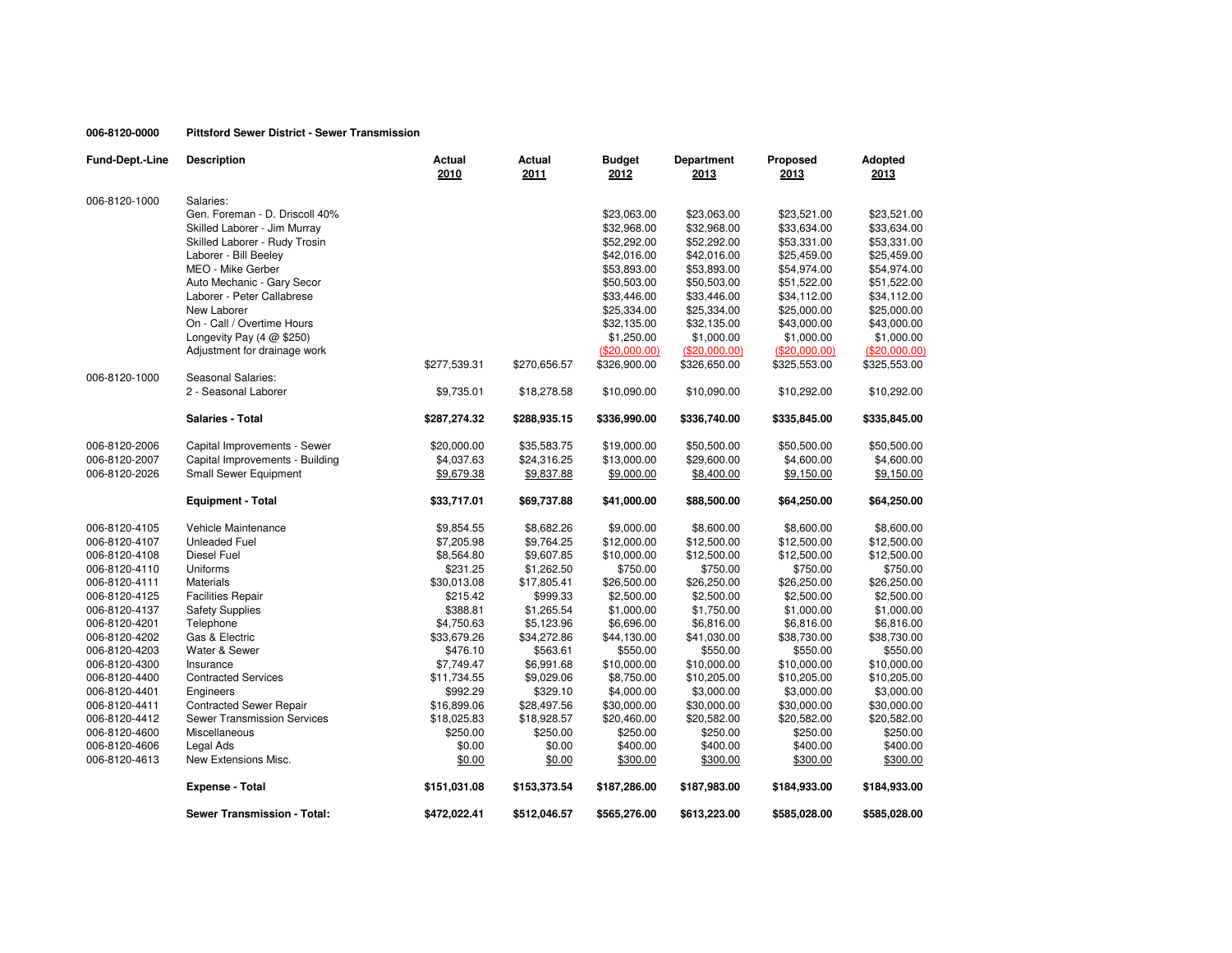# **006-8120-0000 Pittsford Sewer District - Sewer Transmission**

| Fund-Dept.-Line | <b>Description</b>                  | <b>Actual</b><br>2010 | Actual<br>2011 | <b>Budget</b><br>2012 | Department<br>2013 | Proposed<br>2013 | Adopted<br>2013 |
|-----------------|-------------------------------------|-----------------------|----------------|-----------------------|--------------------|------------------|-----------------|
| 006-8120-1000   | Salaries:                           |                       |                |                       |                    |                  |                 |
|                 | Gen. Foreman - D. Driscoll 40%      |                       |                | \$23,063.00           | \$23,063.00        | \$23,521.00      | \$23,521.00     |
|                 | Skilled Laborer - Jim Murray        |                       |                | \$32,968.00           | \$32,968.00        | \$33,634.00      | \$33,634.00     |
|                 | Skilled Laborer - Rudy Trosin       |                       |                | \$52,292.00           | \$52,292.00        | \$53,331.00      | \$53,331.00     |
|                 | Laborer - Bill Beeley               |                       |                | \$42,016.00           | \$42,016.00        | \$25,459.00      | \$25,459.00     |
|                 | MEO - Mike Gerber                   |                       |                | \$53,893.00           | \$53,893.00        | \$54,974.00      | \$54,974.00     |
|                 | Auto Mechanic - Gary Secor          |                       |                | \$50,503.00           | \$50,503.00        | \$51,522.00      | \$51,522.00     |
|                 | Laborer - Peter Callabrese          |                       |                | \$33,446.00           | \$33,446.00        | \$34,112.00      | \$34,112.00     |
|                 | New Laborer                         |                       |                | \$25,334.00           | \$25,334.00        | \$25,000.00      | \$25,000.00     |
|                 | On - Call / Overtime Hours          |                       |                | \$32,135.00           | \$32,135.00        | \$43,000.00      | \$43,000.00     |
|                 | Longevity Pay $(4 \text{ @ } $250)$ |                       |                | \$1,250.00            | \$1,000.00         | \$1,000.00       | \$1,000.00      |
|                 | Adjustment for drainage work        |                       |                | (\$20,000.00)         | (\$20,000.00)      | $(\$20,000.00)$  | (\$20,000.00)   |
|                 |                                     | \$277,539.31          | \$270,656.57   | \$326,900.00          | \$326,650.00       | \$325,553.00     | \$325,553.00    |
| 006-8120-1000   | Seasonal Salaries:                  |                       |                |                       |                    |                  |                 |
|                 | 2 - Seasonal Laborer                | \$9,735.01            | \$18,278.58    | \$10,090.00           | \$10,090.00        | \$10,292.00      | \$10,292.00     |
|                 | <b>Salaries - Total</b>             | \$287,274.32          | \$288,935.15   | \$336,990.00          | \$336,740.00       | \$335,845.00     | \$335,845.00    |
| 006-8120-2006   | Capital Improvements - Sewer        | \$20,000.00           | \$35,583.75    | \$19,000.00           | \$50,500.00        | \$50,500.00      | \$50,500.00     |
| 006-8120-2007   | Capital Improvements - Building     | \$4,037.63            | \$24,316.25    | \$13,000.00           | \$29,600.00        | \$4,600.00       | \$4,600.00      |
| 006-8120-2026   | Small Sewer Equipment               | \$9,679.38            | \$9,837.88     | \$9,000.00            | \$8,400.00         | \$9,150.00       | \$9,150.00      |
|                 | <b>Equipment - Total</b>            | \$33,717.01           | \$69,737.88    | \$41,000.00           | \$88,500.00        | \$64,250.00      | \$64,250.00     |
| 006-8120-4105   | Vehicle Maintenance                 | \$9,854.55            | \$8,682.26     | \$9,000.00            | \$8,600.00         | \$8,600.00       | \$8,600.00      |
| 006-8120-4107   | <b>Unleaded Fuel</b>                | \$7,205.98            | \$9,764.25     | \$12,000.00           | \$12,500.00        | \$12,500.00      | \$12,500.00     |
| 006-8120-4108   | Diesel Fuel                         | \$8,564.80            | \$9,607.85     | \$10,000.00           | \$12,500.00        | \$12,500.00      | \$12,500.00     |
| 006-8120-4110   | Uniforms                            | \$231.25              | \$1,262.50     | \$750.00              | \$750.00           | \$750.00         | \$750.00        |
| 006-8120-4111   | <b>Materials</b>                    | \$30,013.08           | \$17,805.41    | \$26,500.00           | \$26,250.00        | \$26,250.00      | \$26,250.00     |
| 006-8120-4125   | <b>Facilities Repair</b>            | \$215.42              | \$999.33       | \$2,500.00            | \$2,500.00         | \$2,500.00       | \$2,500.00      |
| 006-8120-4137   | <b>Safety Supplies</b>              | \$388.81              | \$1,265.54     | \$1,000.00            | \$1,750.00         | \$1,000.00       | \$1,000.00      |
| 006-8120-4201   | Telephone                           | \$4,750.63            | \$5,123.96     | \$6,696.00            | \$6,816.00         | \$6,816.00       | \$6,816.00      |
| 006-8120-4202   | Gas & Electric                      | \$33,679.26           | \$34,272.86    | \$44,130.00           | \$41,030.00        | \$38,730.00      | \$38,730.00     |
| 006-8120-4203   | Water & Sewer                       | \$476.10              | \$563.61       | \$550.00              | \$550.00           | \$550.00         | \$550.00        |
| 006-8120-4300   | Insurance                           | \$7,749.47            | \$6,991.68     | \$10,000.00           | \$10,000.00        | \$10,000.00      | \$10,000.00     |
| 006-8120-4400   | <b>Contracted Services</b>          | \$11,734.55           | \$9,029.06     | \$8,750.00            | \$10,205.00        | \$10,205.00      | \$10,205.00     |
| 006-8120-4401   | Engineers                           | \$992.29              | \$329.10       | \$4,000.00            | \$3,000.00         | \$3,000.00       | \$3,000.00      |
| 006-8120-4411   | <b>Contracted Sewer Repair</b>      | \$16,899.06           | \$28,497.56    | \$30,000.00           | \$30,000.00        | \$30,000.00      | \$30,000.00     |
| 006-8120-4412   | <b>Sewer Transmission Services</b>  | \$18,025.83           | \$18,928.57    | \$20,460.00           | \$20,582.00        | \$20,582.00      | \$20,582.00     |
| 006-8120-4600   | Miscellaneous                       | \$250.00              | \$250.00       | \$250.00              | \$250.00           | \$250.00         | \$250.00        |
| 006-8120-4606   | Legal Ads                           | \$0.00                | \$0.00         | \$400.00              | \$400.00           | \$400.00         | \$400.00        |
| 006-8120-4613   | New Extensions Misc.                | \$0.00                | \$0.00         | \$300.00              | \$300.00           | \$300.00         | \$300.00        |
|                 | <b>Expense - Total</b>              | \$151,031.08          | \$153,373.54   | \$187,286.00          | \$187,983.00       | \$184,933.00     | \$184,933.00    |
|                 | Sewer Transmission - Total:         | \$472,022.41          | \$512,046.57   | \$565,276.00          | \$613,223.00       | \$585,028.00     | \$585,028.00    |